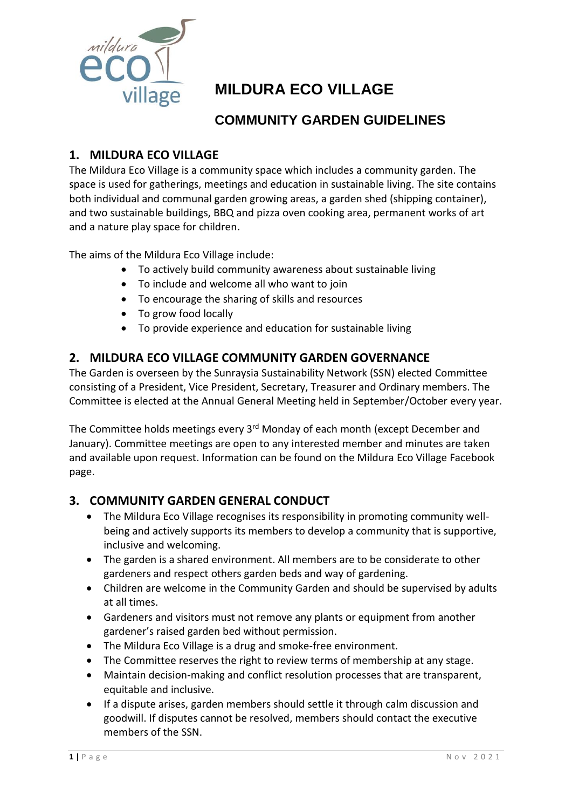

# **MILDURA ECO VILLAGE**

## **COMMUNITY GARDEN GUIDELINES**

## **1. MILDURA ECO VILLAGE**

The Mildura Eco Village is a community space which includes a community garden. The space is used for gatherings, meetings and education in sustainable living. The site contains both individual and communal garden growing areas, a garden shed (shipping container), and two sustainable buildings, BBQ and pizza oven cooking area, permanent works of art and a nature play space for children.

The aims of the Mildura Eco Village include:

- To actively build community awareness about sustainable living
- To include and welcome all who want to join
- To encourage the sharing of skills and resources
- To grow food locally
- To provide experience and education for sustainable living

## **2. MILDURA ECO VILLAGE COMMUNITY GARDEN GOVERNANCE**

The Garden is overseen by the Sunraysia Sustainability Network (SSN) elected Committee consisting of a President, Vice President, Secretary, Treasurer and Ordinary members. The Committee is elected at the Annual General Meeting held in September/October every year.

The Committee holds meetings every 3<sup>rd</sup> Monday of each month (except December and January). Committee meetings are open to any interested member and minutes are taken and available upon request. Information can be found on the Mildura Eco Village Facebook page.

## **3. COMMUNITY GARDEN GENERAL CONDUCT**

- The Mildura Eco Village recognises its responsibility in promoting community wellbeing and actively supports its members to develop a community that is supportive, inclusive and welcoming.
- The garden is a shared environment. All members are to be considerate to other gardeners and respect others garden beds and way of gardening.
- Children are welcome in the Community Garden and should be supervised by adults at all times.
- Gardeners and visitors must not remove any plants or equipment from another gardener's raised garden bed without permission.
- The Mildura Eco Village is a drug and smoke-free environment.
- The Committee reserves the right to review terms of membership at any stage.
- Maintain decision-making and conflict resolution processes that are transparent, equitable and inclusive.
- If a dispute arises, garden members should settle it through calm discussion and goodwill. If disputes cannot be resolved, members should contact the executive members of the SSN.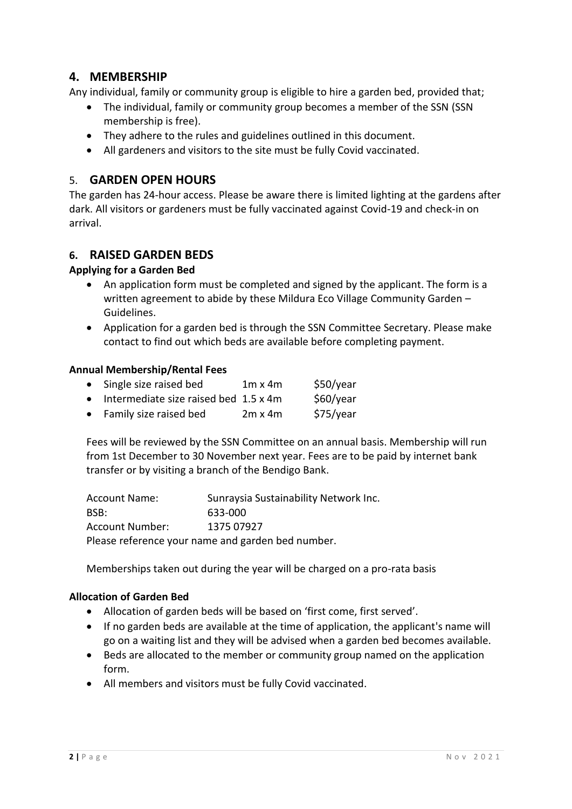## **4. MEMBERSHIP**

Any individual, family or community group is eligible to hire a garden bed, provided that;

- The individual, family or community group becomes a member of the SSN (SSN membership is free).
- They adhere to the rules and guidelines outlined in this document.
- All gardeners and visitors to the site must be fully Covid vaccinated.

## 5. **GARDEN OPEN HOURS**

The garden has 24-hour access. Please be aware there is limited lighting at the gardens after dark. All visitors or gardeners must be fully vaccinated against Covid-19 and check-in on arrival.

## **6. RAISED GARDEN BEDS**

## **Applying for a Garden Bed**

- An application form must be completed and signed by the applicant. The form is a written agreement to abide by these Mildura Eco Village Community Garden – Guidelines.
- Application for a garden bed is through the SSN Committee Secretary. Please make contact to find out which beds are available before completing payment.

#### **Annual Membership/Rental Fees**

| $\bullet$ | Single size raised bed                  | $1m \times 4m$ | \$50/year |
|-----------|-----------------------------------------|----------------|-----------|
|           | • Intermediate size raised bed 1.5 x 4m |                | \$60/year |
|           | • Family size raised bed                | $2m \times 4m$ | \$75/year |

Fees will be reviewed by the SSN Committee on an annual basis. Membership will run from 1st December to 30 November next year. Fees are to be paid by internet bank transfer or by visiting a branch of the Bendigo Bank.

| <b>Account Name:</b>                              | Sunraysia Sustainability Network Inc. |  |  |
|---------------------------------------------------|---------------------------------------|--|--|
| BSB:                                              | 633-000                               |  |  |
| <b>Account Number:</b>                            | 1375 07927                            |  |  |
| Please reference your name and garden bed number. |                                       |  |  |

Memberships taken out during the year will be charged on a pro-rata basis

#### **Allocation of Garden Bed**

- Allocation of garden beds will be based on 'first come, first served'.
- If no garden beds are available at the time of application, the applicant's name will go on a waiting list and they will be advised when a garden bed becomes available.
- Beds are allocated to the member or community group named on the application form.
- All members and visitors must be fully Covid vaccinated.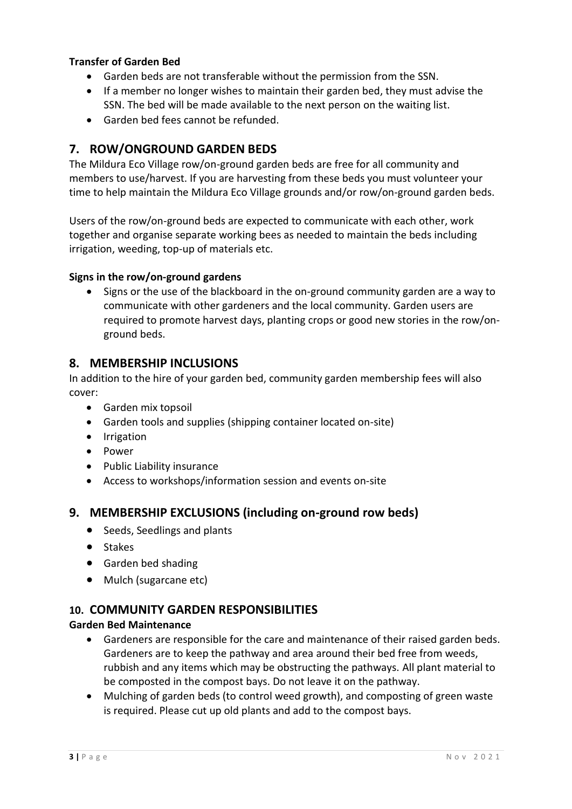## **Transfer of Garden Bed**

- Garden beds are not transferable without the permission from the SSN.
- If a member no longer wishes to maintain their garden bed, they must advise the SSN. The bed will be made available to the next person on the waiting list.
- Garden bed fees cannot be refunded.

## **7. ROW/ONGROUND GARDEN BEDS**

The Mildura Eco Village row/on-ground garden beds are free for all community and members to use/harvest. If you are harvesting from these beds you must volunteer your time to help maintain the Mildura Eco Village grounds and/or row/on-ground garden beds.

Users of the row/on-ground beds are expected to communicate with each other, work together and organise separate working bees as needed to maintain the beds including irrigation, weeding, top-up of materials etc.

## **Signs in the row/on-ground gardens**

• Signs or the use of the blackboard in the on-ground community garden are a way to communicate with other gardeners and the local community. Garden users are required to promote harvest days, planting crops or good new stories in the row/onground beds.

## **8. MEMBERSHIP INCLUSIONS**

In addition to the hire of your garden bed, community garden membership fees will also cover:

- Garden mix topsoil
- Garden tools and supplies (shipping container located on-site)
- **•** Irrigation
- Power
- Public Liability insurance
- Access to workshops/information session and events on-site

## **9. MEMBERSHIP EXCLUSIONS (including on-ground row beds)**

- Seeds, Seedlings and plants
- Stakes
- **•** Garden bed shading
- Mulch (sugarcane etc)

## **10. COMMUNITY GARDEN RESPONSIBILITIES**

#### **Garden Bed Maintenance**

- Gardeners are responsible for the care and maintenance of their raised garden beds. Gardeners are to keep the pathway and area around their bed free from weeds, rubbish and any items which may be obstructing the pathways. All plant material to be composted in the compost bays. Do not leave it on the pathway.
- Mulching of garden beds (to control weed growth), and composting of green waste is required. Please cut up old plants and add to the compost bays.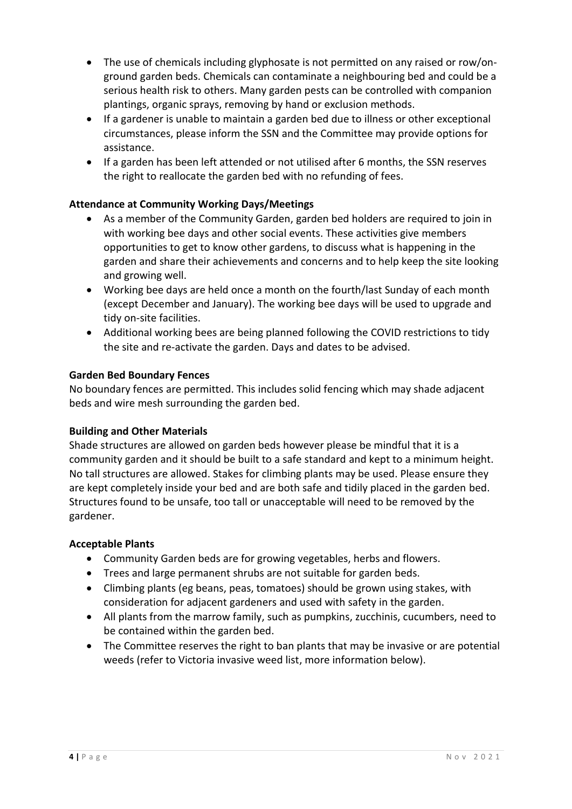- The use of chemicals including glyphosate is not permitted on any raised or row/onground garden beds. Chemicals can contaminate a neighbouring bed and could be a serious health risk to others. Many garden pests can be controlled with companion plantings, organic sprays, removing by hand or exclusion methods.
- If a gardener is unable to maintain a garden bed due to illness or other exceptional circumstances, please inform the SSN and the Committee may provide options for assistance.
- If a garden has been left attended or not utilised after 6 months, the SSN reserves the right to reallocate the garden bed with no refunding of fees.

## **Attendance at Community Working Days/Meetings**

- As a member of the Community Garden, garden bed holders are required to join in with working bee days and other social events. These activities give members opportunities to get to know other gardens, to discuss what is happening in the garden and share their achievements and concerns and to help keep the site looking and growing well.
- Working bee days are held once a month on the fourth/last Sunday of each month (except December and January). The working bee days will be used to upgrade and tidy on-site facilities.
- Additional working bees are being planned following the COVID restrictions to tidy the site and re-activate the garden. Days and dates to be advised.

## **Garden Bed Boundary Fences**

No boundary fences are permitted. This includes solid fencing which may shade adjacent beds and wire mesh surrounding the garden bed.

#### **Building and Other Materials**

Shade structures are allowed on garden beds however please be mindful that it is a community garden and it should be built to a safe standard and kept to a minimum height. No tall structures are allowed. Stakes for climbing plants may be used. Please ensure they are kept completely inside your bed and are both safe and tidily placed in the garden bed. Structures found to be unsafe, too tall or unacceptable will need to be removed by the gardener.

#### **Acceptable Plants**

- Community Garden beds are for growing vegetables, herbs and flowers.
- Trees and large permanent shrubs are not suitable for garden beds.
- Climbing plants (eg beans, peas, tomatoes) should be grown using stakes, with consideration for adjacent gardeners and used with safety in the garden.
- All plants from the marrow family, such as pumpkins, zucchinis, cucumbers, need to be contained within the garden bed.
- The Committee reserves the right to ban plants that may be invasive or are potential weeds (refer to Victoria invasive weed list, more information below).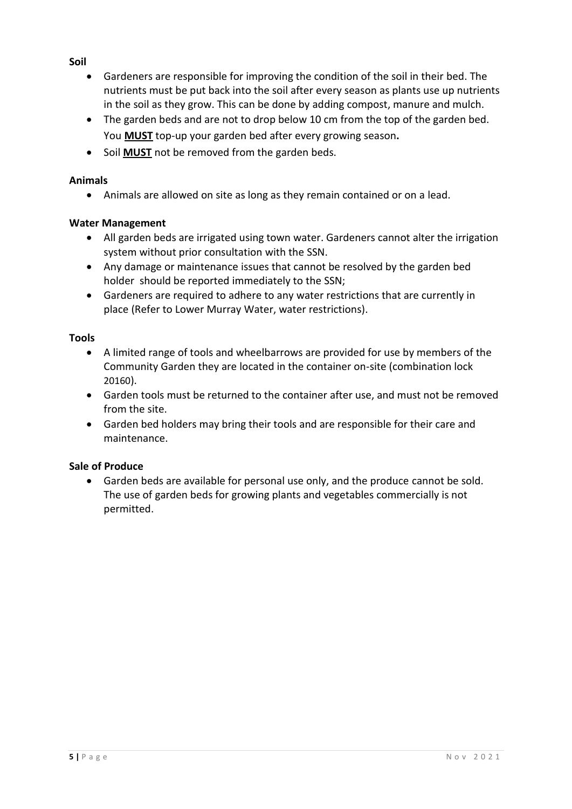## **Soil**

- Gardeners are responsible for improving the condition of the soil in their bed. The nutrients must be put back into the soil after every season as plants use up nutrients in the soil as they grow. This can be done by adding compost, manure and mulch.
- The garden beds and are not to drop below 10 cm from the top of the garden bed. You **MUST** top-up your garden bed after every growing season**.**
- **•** Soil MUST not be removed from the garden beds.

## **Animals**

Animals are allowed on site as long as they remain contained or on a lead.

## **Water Management**

- All garden beds are irrigated using town water. Gardeners cannot alter the irrigation system without prior consultation with the SSN.
- Any damage or maintenance issues that cannot be resolved by the garden bed holder should be reported immediately to the SSN;
- Gardeners are required to adhere to any water restrictions that are currently in place (Refer to Lower Murray Water, water restrictions).

## **Tools**

- A limited range of tools and wheelbarrows are provided for use by members of the Community Garden they are located in the container on-site (combination lock 20160).
- Garden tools must be returned to the container after use, and must not be removed from the site.
- Garden bed holders may bring their tools and are responsible for their care and maintenance.

## **Sale of Produce**

 Garden beds are available for personal use only, and the produce cannot be sold. The use of garden beds for growing plants and vegetables commercially is not permitted.